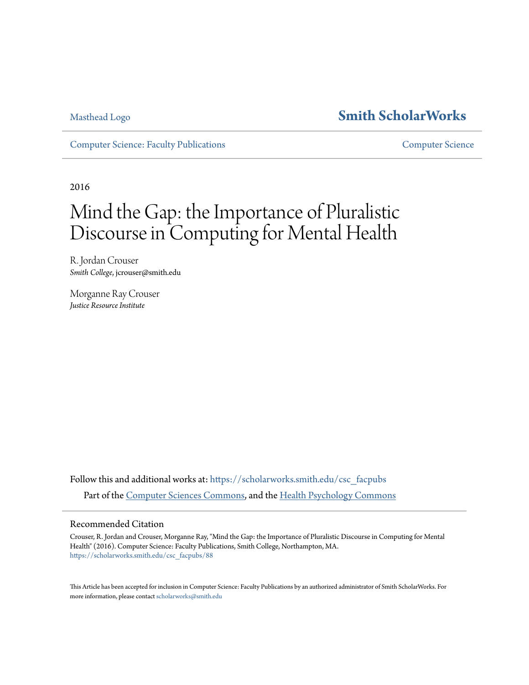# [Masthead Logo](http://www.smith.edu/?utm_source=scholarworks.smith.edu%2Fcsc_facpubs%2F88&utm_medium=PDF&utm_campaign=PDFCoverPages) **[Smith ScholarWorks](https://scholarworks.smith.edu?utm_source=scholarworks.smith.edu%2Fcsc_facpubs%2F88&utm_medium=PDF&utm_campaign=PDFCoverPages)**

[Computer Science: Faculty Publications](https://scholarworks.smith.edu/csc_facpubs?utm_source=scholarworks.smith.edu%2Fcsc_facpubs%2F88&utm_medium=PDF&utm_campaign=PDFCoverPages) [Computer Science](https://scholarworks.smith.edu/csc?utm_source=scholarworks.smith.edu%2Fcsc_facpubs%2F88&utm_medium=PDF&utm_campaign=PDFCoverPages)

2016

# Mind the Gap: the Importance of Pluralistic Discourse in Computing for Mental Health

R. Jordan Crouser *Smith College*, jcrouser@smith.edu

Morganne Ray Crouser *Justice Resource Institute*

Follow this and additional works at: [https://scholarworks.smith.edu/csc\\_facpubs](https://scholarworks.smith.edu/csc_facpubs?utm_source=scholarworks.smith.edu%2Fcsc_facpubs%2F88&utm_medium=PDF&utm_campaign=PDFCoverPages) Part of the [Computer Sciences Commons](http://network.bepress.com/hgg/discipline/142?utm_source=scholarworks.smith.edu%2Fcsc_facpubs%2F88&utm_medium=PDF&utm_campaign=PDFCoverPages), and the [Health Psychology Commons](http://network.bepress.com/hgg/discipline/411?utm_source=scholarworks.smith.edu%2Fcsc_facpubs%2F88&utm_medium=PDF&utm_campaign=PDFCoverPages)

# Recommended Citation

Crouser, R. Jordan and Crouser, Morganne Ray, "Mind the Gap: the Importance of Pluralistic Discourse in Computing for Mental Health" (2016). Computer Science: Faculty Publications, Smith College, Northampton, MA. [https://scholarworks.smith.edu/csc\\_facpubs/88](https://scholarworks.smith.edu/csc_facpubs/88?utm_source=scholarworks.smith.edu%2Fcsc_facpubs%2F88&utm_medium=PDF&utm_campaign=PDFCoverPages)

This Article has been accepted for inclusion in Computer Science: Faculty Publications by an authorized administrator of Smith ScholarWorks. For more information, please contact [scholarworks@smith.edu](mailto:scholarworks@smith.edu)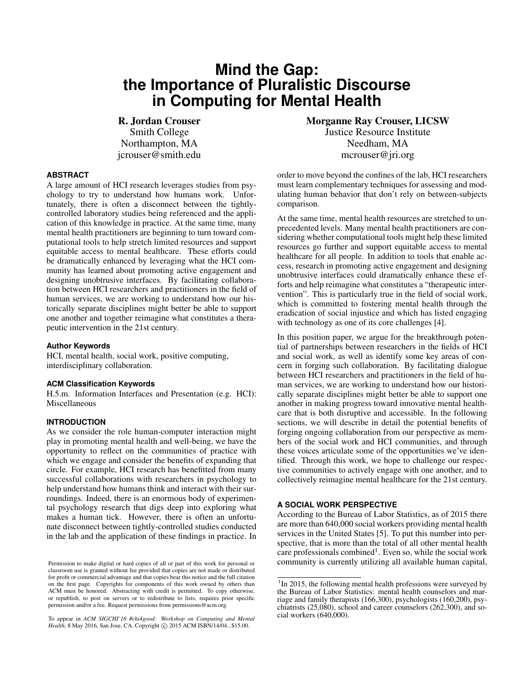# **Mind the Gap: the Importance of Pluralistic Discourse in Computing for Mental Health**

R. Jordan Crouser Smith College Northampton, MA jcrouser@smith.edu

#### **ABSTRACT**

A large amount of HCI research leverages studies from psychology to try to understand how humans work. Unfortunately, there is often a disconnect between the tightlycontrolled laboratory studies being referenced and the application of this knowledge in practice. At the same time, many mental health practitioners are beginning to turn toward computational tools to help stretch limited resources and support equitable access to mental healthcare. These efforts could be dramatically enhanced by leveraging what the HCI community has learned about promoting active engagement and designing unobtrusive interfaces. By facilitating collaboration between HCI researchers and practitioners in the field of human services, we are working to understand how our historically separate disciplines might better be able to support one another and together reimagine what constitutes a therapeutic intervention in the 21st century.

#### **Author Keywords**

HCI, mental health, social work, positive computing, interdisciplinary collaboration.

#### **ACM Classification Keywords**

H.5.m. Information Interfaces and Presentation (e.g. HCI): Miscellaneous

## **INTRODUCTION**

As we consider the role human-computer interaction might play in promoting mental health and well-being, we have the opportunity to reflect on the communities of practice with which we engage and consider the benefits of expanding that circle. For example, HCI research has benefitted from many successful collaborations with researchers in psychology to help understand how humans think and interact with their surroundings. Indeed, there is an enormous body of experimental psychology research that digs deep into exploring what makes a human tick. However, there is often an unfortunate disconnect between tightly-controlled studies conducted in the lab and the application of these findings in practice. In

To appear in *ACM SIGCHI'16 #chi4good: Workshop on Computing and Mental* Health, 8 May 2016, San Jose, CA. Copyright © 2015 ACM ISBN/14/04...\$15.00.

Morganne Ray Crouser, LICSW Justice Resource Institute Needham, MA mcrouser@jri.org

order to move beyond the confines of the lab, HCI researchers must learn complementary techniques for assessing and modulating human behavior that don't rely on between-subjects comparison.

At the same time, mental health resources are stretched to unprecedented levels. Many mental health practitioners are considering whether computational tools might help these limited resources go further and support equitable access to mental healthcare for all people. In addition to tools that enable access, research in promoting active engagement and designing unobtrusive interfaces could dramatically enhance these efforts and help reimagine what constitutes a "therapeutic intervention". This is particularly true in the field of social work, which is committed to fostering mental health through the eradication of social injustice and which has listed engaging with technology as one of its core challenges [\[4\]](#page-4-0).

In this position paper, we argue for the breakthrough potential of partnerships between researchers in the fields of HCI and social work, as well as identify some key areas of concern in forging such collaboration. By facilitating dialogue between HCI researchers and practitioners in the field of human services, we are working to understand how our historically separate disciplines might better be able to support one another in making progress toward innovative mental healthcare that is both disruptive and accessible. In the following sections, we will describe in detail the potential benefits of forging ongoing collaboration from our perspective as members of the social work and HCI communities, and through these voices articulate some of the opportunities we've identified. Through this work, we hope to challenge our respective communities to actively engage with one another, and to collectively reimagine mental healthcare for the 21st century.

#### **A SOCIAL WORK PERSPECTIVE**

According to the Bureau of Labor Statistics, as of 2015 there are more than 640,000 social workers providing mental health services in the United States [\[5\]](#page-4-1). To put this number into perspective, that is more than the total of all other mental health care professionals combined<sup>[1](#page-1-0)</sup>. Even so, while the social work community is currently utilizing all available human capital,

Permission to make digital or hard copies of all or part of this work for personal or classroom use is granted without fee provided that copies are not made or distributed for profit or commercial advantage and that copies bear this notice and the full citation on the first page. Copyrights for components of this work owned by others than ACM must be honored. Abstracting with credit is permitted. To copy otherwise, or republish, to post on servers or to redistribute to lists, requires prior specific permission and/or a fee. Request permissions from permissions@acm.org.

<span id="page-1-0"></span><sup>&</sup>lt;sup>1</sup>In 2015, the following mental health professions were surveyed by the Bureau of Labor Statistics: mental health counselors and marriage and family therapists (166,300), psychologists (160,200), psychiatrists (25,080), school and career counselors (262,300), and social workers (640,000).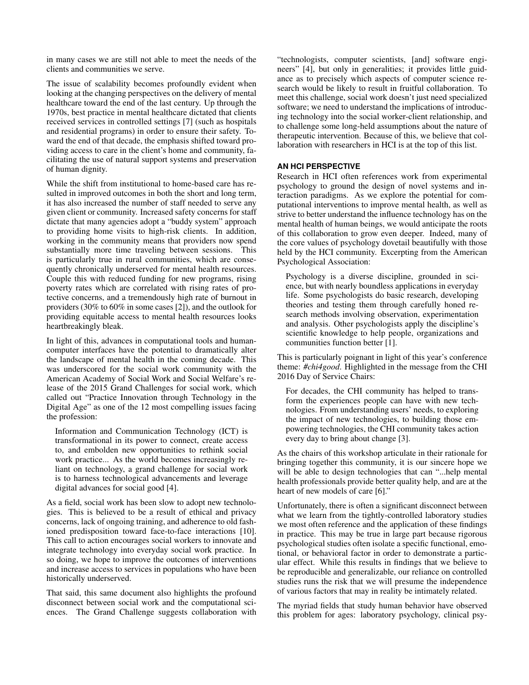in many cases we are still not able to meet the needs of the clients and communities we serve.

The issue of scalability becomes profoundly evident when looking at the changing perspectives on the delivery of mental healthcare toward the end of the last century. Up through the 1970s, best practice in mental healthcare dictated that clients received services in controlled settings [\[7\]](#page-4-2) (such as hospitals and residential programs) in order to ensure their safety. Toward the end of that decade, the emphasis shifted toward providing access to care in the client's home and community, facilitating the use of natural support systems and preservation of human dignity.

While the shift from institutional to home-based care has resulted in improved outcomes in both the short and long term, it has also increased the number of staff needed to serve any given client or community. Increased safety concerns for staff dictate that many agencies adopt a "buddy system" approach to providing home visits to high-risk clients. In addition, working in the community means that providers now spend substantially more time traveling between sessions. This is particularly true in rural communities, which are consequently chronically underserved for mental health resources. Couple this with reduced funding for new programs, rising poverty rates which are correlated with rising rates of protective concerns, and a tremendously high rate of burnout in providers (30% to 60% in some cases [\[2\]](#page-4-3)), and the outlook for providing equitable access to mental health resources looks heartbreakingly bleak.

In light of this, advances in computational tools and humancomputer interfaces have the potential to dramatically alter the landscape of mental health in the coming decade. This was underscored for the social work community with the American Academy of Social Work and Social Welfare's release of the 2015 Grand Challenges for social work, which called out "Practice Innovation through Technology in the Digital Age" as one of the 12 most compelling issues facing the profession:

Information and Communication Technology (ICT) is transformational in its power to connect, create access to, and embolden new opportunities to rethink social work practice... As the world becomes increasingly reliant on technology, a grand challenge for social work is to harness technological advancements and leverage digital advances for social good [\[4\]](#page-4-0).

As a field, social work has been slow to adopt new technologies. This is believed to be a result of ethical and privacy concerns, lack of ongoing training, and adherence to old fashioned predisposition toward face-to-face interactions [\[10\]](#page-4-4). This call to action encourages social workers to innovate and integrate technology into everyday social work practice. In so doing, we hope to improve the outcomes of interventions and increase access to services in populations who have been historically underserved.

That said, this same document also highlights the profound disconnect between social work and the computational sciences. The Grand Challenge suggests collaboration with

"technologists, computer scientists, [and] software engineers" [\[4\]](#page-4-0), but only in generalities; it provides little guidance as to precisely which aspects of computer science research would be likely to result in fruitful collaboration. To meet this challenge, social work doesn't just need specialized software; we need to understand the implications of introducing technology into the social worker-client relationship, and to challenge some long-held assumptions about the nature of therapeutic intervention. Because of this, we believe that collaboration with researchers in HCI is at the top of this list.

# **AN HCI PERSPECTIVE**

Research in HCI often references work from experimental psychology to ground the design of novel systems and interaction paradigms. As we explore the potential for computational interventions to improve mental health, as well as strive to better understand the influence technology has on the mental health of human beings, we would anticipate the roots of this collaboration to grow even deeper. Indeed, many of the core values of psychology dovetail beautifully with those held by the HCI community. Excerpting from the American Psychological Association:

Psychology is a diverse discipline, grounded in science, but with nearly boundless applications in everyday life. Some psychologists do basic research, developing theories and testing them through carefully honed research methods involving observation, experimentation and analysis. Other psychologists apply the discipline's scientific knowledge to help people, organizations and communities function better [\[1\]](#page-4-5).

This is particularly poignant in light of this year's conference theme: *#chi4good*. Highlighted in the message from the CHI 2016 Day of Service Chairs:

For decades, the CHI community has helped to transform the experiences people can have with new technologies. From understanding users' needs, to exploring the impact of new technologies, to building those empowering technologies, the CHI community takes action every day to bring about change [\[3\]](#page-4-6).

As the chairs of this workshop articulate in their rationale for bringing together this community, it is our sincere hope we will be able to design technologies that can "...help mental health professionals provide better quality help, and are at the heart of new models of care [\[6\]](#page-4-7)."

Unfortunately, there is often a significant disconnect between what we learn from the tightly-controlled laboratory studies we most often reference and the application of these findings in practice. This may be true in large part because rigorous psychological studies often isolate a specific functional, emotional, or behavioral factor in order to demonstrate a particular effect. While this results in findings that we believe to be reproducible and generalizable, our reliance on controlled studies runs the risk that we will presume the independence of various factors that may in reality be intimately related.

The myriad fields that study human behavior have observed this problem for ages: laboratory psychology, clinical psy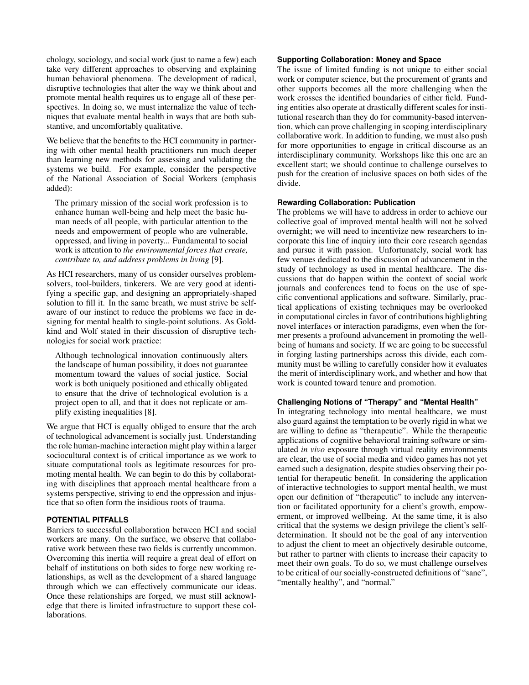chology, sociology, and social work (just to name a few) each take very different approaches to observing and explaining human behavioral phenomena. The development of radical, disruptive technologies that alter the way we think about and promote mental health requires us to engage all of these perspectives. In doing so, we must internalize the value of techniques that evaluate mental health in ways that are both substantive, and uncomfortably qualitative.

We believe that the benefits to the HCI community in partnering with other mental health practitioners run much deeper than learning new methods for assessing and validating the systems we build. For example, consider the perspective of the National Association of Social Workers (emphasis added):

The primary mission of the social work profession is to enhance human well-being and help meet the basic human needs of all people, with particular attention to the needs and empowerment of people who are vulnerable, oppressed, and living in poverty... Fundamental to social work is attention to *the environmental forces that create, contribute to, and address problems in living* [\[9\]](#page-4-8).

As HCI researchers, many of us consider ourselves problemsolvers, tool-builders, tinkerers. We are very good at identifying a specific gap, and designing an appropriately-shaped solution to fill it. In the same breath, we must strive be selfaware of our instinct to reduce the problems we face in designing for mental health to single-point solutions. As Goldkind and Wolf stated in their discussion of disruptive technologies for social work practice:

Although technological innovation continuously alters the landscape of human possibility, it does not guarantee momentum toward the values of social justice. Social work is both uniquely positioned and ethically obligated to ensure that the drive of technological evolution is a project open to all, and that it does not replicate or amplify existing inequalities [\[8\]](#page-4-9).

We argue that HCI is equally obliged to ensure that the arch of technological advancement is socially just. Understanding the role human-machine interaction might play within a larger sociocultural context is of critical importance as we work to situate computational tools as legitimate resources for promoting mental health. We can begin to do this by collaborating with disciplines that approach mental healthcare from a systems perspective, striving to end the oppression and injustice that so often form the insidious roots of trauma.

# **POTENTIAL PITFALLS**

Barriers to successful collaboration between HCI and social workers are many. On the surface, we observe that collaborative work between these two fields is currently uncommon. Overcoming this inertia will require a great deal of effort on behalf of institutions on both sides to forge new working relationships, as well as the development of a shared language through which we can effectively communicate our ideas. Once these relationships are forged, we must still acknowledge that there is limited infrastructure to support these collaborations.

#### **Supporting Collaboration: Money and Space**

The issue of limited funding is not unique to either social work or computer science, but the procurement of grants and other supports becomes all the more challenging when the work crosses the identified boundaries of either field. Funding entities also operate at drastically different scales for institutional research than they do for community-based intervention, which can prove challenging in scoping interdisciplinary collaborative work. In addition to funding, we must also push for more opportunities to engage in critical discourse as an interdisciplinary community. Workshops like this one are an excellent start; we should continue to challenge ourselves to push for the creation of inclusive spaces on both sides of the divide.

## **Rewarding Collaboration: Publication**

The problems we will have to address in order to achieve our collective goal of improved mental health will not be solved overnight; we will need to incentivize new researchers to incorporate this line of inquiry into their core research agendas and pursue it with passion. Unfortunately, social work has few venues dedicated to the discussion of advancement in the study of technology as used in mental healthcare. The discussions that do happen within the context of social work journals and conferences tend to focus on the use of specific conventional applications and software. Similarly, practical applications of existing techniques may be overlooked in computational circles in favor of contributions highlighting novel interfaces or interaction paradigms, even when the former presents a profound advancement in promoting the wellbeing of humans and society. If we are going to be successful in forging lasting partnerships across this divide, each community must be willing to carefully consider how it evaluates the merit of interdisciplinary work, and whether and how that work is counted toward tenure and promotion.

#### **Challenging Notions of "Therapy" and "Mental Health"**

In integrating technology into mental healthcare, we must also guard against the temptation to be overly rigid in what we are willing to define as "therapeutic". While the therapeutic applications of cognitive behavioral training software or simulated *in vivo* exposure through virtual reality environments are clear, the use of social media and video games has not yet earned such a designation, despite studies observing their potential for therapeutic benefit. In considering the application of interactive technologies to support mental health, we must open our definition of "therapeutic" to include any intervention or facilitated opportunity for a client's growth, empowerment, or improved wellbeing. At the same time, it is also critical that the systems we design privilege the client's selfdetermination. It should not be the goal of any intervention to adjust the client to meet an objectively desirable outcome, but rather to partner with clients to increase their capacity to meet their own goals. To do so, we must challenge ourselves to be critical of our socially-constructed definitions of "sane", "mentally healthy", and "normal."